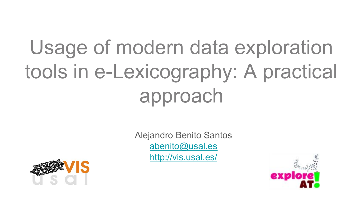### Usage of modern data exploration tools in e-Lexicography: A practical approach

Alejandro Benito Santos [abenito@usal.es](mailto:abenito@usal.es) <http://vis.usal.es/>



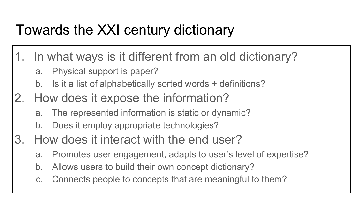#### Towards the XXI century dictionary

- 1. In what ways is it different from an old dictionary?
	- a. Physical support is paper?
	- b. Is it a list of alphabetically sorted words + definitions?
- 2. How does it expose the information?
	- a. The represented information is static or dynamic?
	- b. Does it employ appropriate technologies?
- 3. How does it interact with the end user?
	- a. Promotes user engagement, adapts to user's level of expertise?
	- b. Allows users to build their own concept dictionary?
	- c. Connects people to concepts that are meaningful to them?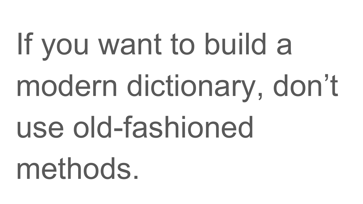# If you want to build a modern dictionary, don't use old-fashioned methods.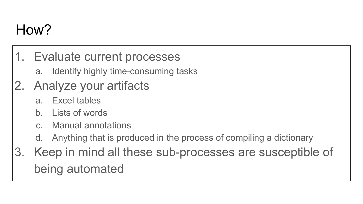#### How?

- 1. Evaluate current processes
	- a. Identify highly time-consuming tasks
- 2. Analyze your artifacts
	- a. Excel tables
	- b. Lists of words
	- c. Manual annotations
	- d. Anything that is produced in the process of compiling a dictionary
- 3. Keep in mind all these sub-processes are susceptible of being automated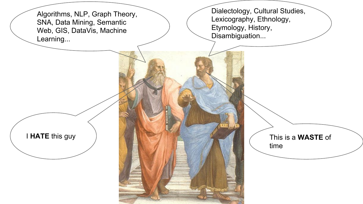Algorithms, NLP, Graph Theory, SNA, Data Mining, Semantic Web, GIS, DataVis, Machine Learning...

Dialectology, Cultural Studies, Lexicography, Ethnology, Etymology, History, Disambiguation...

time

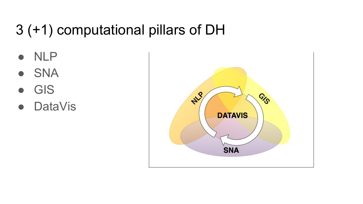### 3 (+1) computational pillars of DH

- NLP
- SNA
- **GIS**
- DataVis

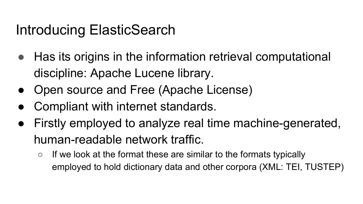#### Introducing ElasticSearch

- Has its origins in the information retrieval computational discipline: Apache Lucene library.
- Open source and Free (Apache License)
- Compliant with internet standards.
- Firstly employed to analyze real time machine-generated, human-readable network traffic.
	- $\circ$  If we look at the format these are similar to the formats typically employed to hold dictionary data and other corpora (XML: TEI, TUSTEP)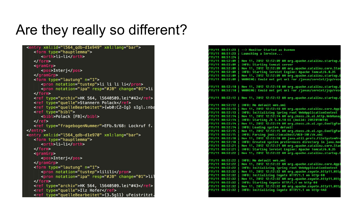#### Are they really so different?

| <form type="hauptlemma"></form>                          |
|----------------------------------------------------------|
|                                                          |
| <orth>li-li</orth>                                       |
| $<$ /form>                                               |
| $<$ gram $G$ rp $>$                                      |
| <pos>Interj</pos>                                        |
| $<$ /gramGrp>                                            |
| <form n="1" type="lautung"></form>                       |
| <pron notation="tustep">li li li li</pron>               |
| <pron change="01" notation="ipa" resp="#JB">li</pron>    |
| $<$ /form $>$                                            |
| <ref type="archiv">HK 564, l5640509.lei^#42</ref>        |
| <ref type="quelle">Stannern Polack</ref>                 |
| <ref type="quelleBearbeitet">{wb0:CZ-Ig} sIgl.:nba</ref> |
| <ref type="bibl"></ref>                                  |
| <bibl>Polack [FB]</bibl>                                 |
| $\langle$ /ref>                                          |
| <ref type="fragebogenNummer">EFb.9/68: Lockruf f.</ref>  |
| $<$ /entry>                                              |
| <entry xml:id="l564_qdb-d1e970" xml:lang="bar"></entry>  |
| <form type="hauptlemma"></form>                          |
| <orth>li-li</orth>                                       |
| $<$ /form $>$                                            |
| $<$ gram $G$ rp $>$                                      |
| <pos>Interj</pos>                                        |
| $<$ /gramGrp>                                            |
| <form n="1" type="lautung"></form>                       |
| <pron notation="tustep">lilili</pron>                    |
| <pron change="01" notation="ipa" resp="#JB">lil</pron>   |
| $<$ /form $>$                                            |
| <ref type="archiv">HK 564, l5640509.lei^#43</ref>        |
| <ref type="quelle">Ilz Hofer</ref>                       |
| <ref type="quelleBearbeitet">{3.5g11} uFeistritzt.</ref> |

|        | /11/11 00:51:23 | --> Monitor Started as Daemon                                            |
|--------|-----------------|--------------------------------------------------------------------------|
| /11/11 | 00:51:23        | Launching a Service                                                      |
|        | /11/11 00:51:24 |                                                                          |
|        | /11/11 00:52:09 | Nov 11, 2012 12:52:09 AM org.apache.catalina.startup.E                   |
|        | /11/11 00:52:09 | <b>INFO: Starting tomcat server</b>                                      |
|        | /11/11 00:52:09 | Nov 11, 2012 12:52:09 AM org.apache.catalina.core.Stan                   |
|        | /11/11 00:52:09 | INFO: Starting Servlet Engine: Apache Tomcat/6.0.35                      |
|        | /11/11 00:52:09 | Nov 11, 2012 12:52:09 AM org.apache.catalina.startup.D                   |
|        | /11/11 88:52:89 | WARNING: Could not get url for /javax/servlet/jsp/reso                   |
|        | /11/11 00:52:10 | Nov 11, 2012 12:52:10 AM org.apache.catalina.startup.D                   |
|        | /11/11 00:52:10 | WARNING: Could not get url for /javax/servlet/jsp/reso                   |
|        |                 | /11/11 00:52:12   Nov 11, 2012 12:52:12 AM orq.apache.catalina.startup.C |
|        | /11/11 00:52:12 | INFO: No default web.xml                                                 |
| /11/11 | 00:52:13        | Nov 11, 2012 12:52:13 AM org.apache.catalina.core.Appl                   |
|        | /11/11 88:52:13 | INFO: Initializing Spring root WebApplicationContext                     |
|        | /11/11 00:52:14 | Nov 11, 2012 12:52:14 AM org.zkoss.zk.ui.http.WebManaq                   |
|        | /11/11 00:52:14 | INFO: Starting ZK 5.0.10 EE (build: 2012010610)                          |
|        | /11/11 00:52:14 | Nov 11, 2012 12:52:14 AM org.zkoss.zk.ui.sys.ConfigPar                   |
| /11/11 | 88:52:14        | <b>INFO: Loading system default</b>                                      |
| /11/11 | 00:52:15        | Nov 11, 2012 12:52:15 AM org.zkoss.zk.ui.sys.ConfigPar                   |
| /11/11 | 88:52:15        | INFO: Parsing jndi:/localhost/WEB-INF/zk.xml                             |
|        | /11/11 00:52:18 | Nov 11, 2012 12:52:18 AM java.util.prefs.FileSystemPre                   |
|        | /11/11 00:52:18 | INFO: Created system preferences directory in java.hom                   |
|        | /11/11 00:52:21 | Nov 11, 2012 12:52:21 AM org.apache.catalina.core.Stan                   |
|        | /11/11 00:52:21 | INFO: Starting Servlet Engine: Apache Tomcat/6.0.35                      |
|        | /11/11 88:52:22 | Nov 11, 2012 12:52:22 AM org.apache.catalina.startup.C                   |
|        | /11/11 88:52:22 | INFO: No default web.xml                                                 |
| /11/11 | 00:52:22        | Nov 11, 2012 12:52:22 AM org.apache.catalina.core.Appl                   |
| /11/11 | 88:52:22        | INFO: Initializing Spring root WebApplicationContext                     |
|        | /11/11 00:52:32 | Nov 11, 2012 12:52:32 AM org.apache.coyote.http11.Http                   |
|        | /11/11 00:52:32 | INFO: Initializing Coyote HTTP/1.1 on http-80                            |
|        | /11/11 00:52:32 | Nov 11, 2012 12:52:32 AM org.apache.coyote.http11.Http                   |
|        | /11/11 88:52:32 | INFO: Starting Coyote HTTP/1.1 on http-80                                |
|        | /11/11 00:52:32 | Nov 11, 2012 12:52:32 AM org.apache.coyote.http11.Http                   |
|        | /11/11 00:52:32 | INFO: Initializing Coyote HTTP/1.1 on http-443                           |
|        |                 |                                                                          |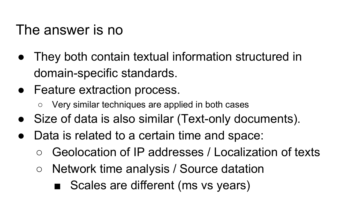#### The answer is no

- They both contain textual information structured in domain-specific standards.
- Feature extraction process.
	- Very similar techniques are applied in both cases
- Size of data is also similar (Text-only documents).
- Data is related to a certain time and space:
	- Geolocation of IP addresses / Localization of texts
	- Network time analysis / Source datation
		- Scales are different (ms vs years)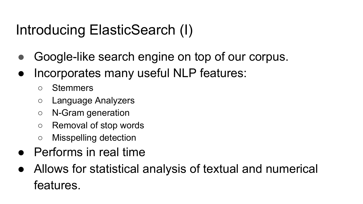#### Introducing ElasticSearch (I)

- Google-like search engine on top of our corpus.
- Incorporates many useful NLP features:
	- Stemmers
	- Language Analyzers
	- N-Gram generation
	- Removal of stop words
	- Misspelling detection
- Performs in real time
- Allows for statistical analysis of textual and numerical features.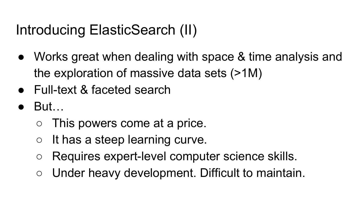#### Introducing ElasticSearch (II)

- Works great when dealing with space & time analysis and the exploration of massive data sets (>1M)
- Full-text & faceted search
- But…
	- This powers come at a price.
	- $\circ$  It has a steep learning curve.
	- Requires expert-level computer science skills.
	- Under heavy development. Difficult to maintain.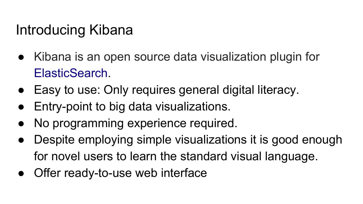#### Introducing Kibana

- Kibana is an open source data visualization plugin for [ElasticSearch](https://en.wikipedia.org/wiki/Elasticsearch).
- Easy to use: Only requires general digital literacy.
- Entry-point to big data visualizations.
- No programming experience required.
- Despite employing simple visualizations it is good enough for novel users to learn the standard visual language.
- Offer ready-to-use web interface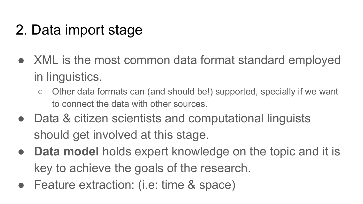### 2. Data import stage

- XML is the most common data format standard employed in linguistics.
	- Other data formats can (and should be!) supported, specially if we want to connect the data with other sources.
- Data & citizen scientists and computational linguists should get involved at this stage.
- **Data model** holds expert knowledge on the topic and it is key to achieve the goals of the research.
- Feature extraction: (i.e: time & space)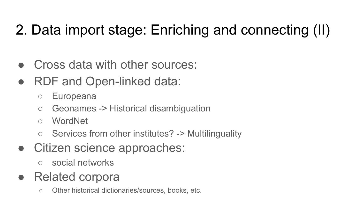### 2. Data import stage: Enriching and connecting (II)

- Cross data with other sources:
- RDF and Open-linked data:
	- Europeana
	- Geonames -> Historical disambiguation
	- WordNet
	- Services from other institutes? -> Multilinguality
- Citizen science approaches:
	- social networks
- Related corpora
	- Other historical dictionaries/sources, books, etc.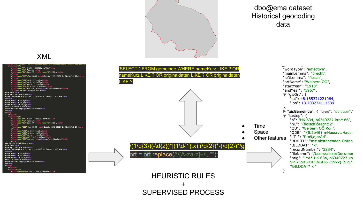

#### dbo@ema dataset Historical geocoding data

**Time** 

#### "wordType": "adjective", "mainLemma": "ôrecht", "leftLemma": "flosch", "ortName": "Weibern OO", "startYear": "1913". "endYear": "1967",  $\blacktriangledown$  "qisOrt": { "lat": 48.185371221064. "lon": 13.703274111539 ን, "qisGemeinde": { "type": "polygon","  $\blacktriangledown$  "tustep": { "A": "HK 634, 06340727.kro^#6", "NL": "(flolsch)ôrecht:2", "QU": "Weibern OÖ Roi.", **Space** "QDB": "{5.2b46} mHausrv.: Hausr "LT1": "fl-oš,e,orAd", Other features "BD/LT1": "mit abstehenden Ohren' "BILDDAT": "x", "recordNumber": "3234", "fileName": "/Users/alexb/Documer "orig": " \*A\* HK 634, o6340727.krc Slg./FbB.ROITINGER (19xx) [Slg."I \*BILDDAT\* x "

#### XML



 $ort = ort.replace(\sqrt{A-za-z}$ ]+/i HEURISTIC RULES + SUPERVISED PROCESS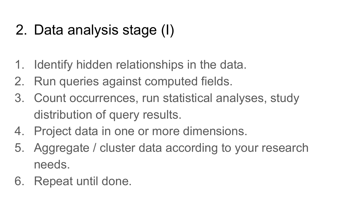#### 2. Data analysis stage (I)

- 1. Identify hidden relationships in the data.
- 2. Run queries against computed fields.
- 3. Count occurrences, run statistical analyses, study distribution of query results.
- 4. Project data in one or more dimensions.
- 5. Aggregate / cluster data according to your research needs.
- 6. Repeat until done.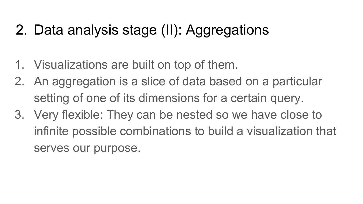#### 2. Data analysis stage (II): Aggregations

- 1. Visualizations are built on top of them.
- 2. An aggregation is a slice of data based on a particular setting of one of its dimensions for a certain query.
- 3. Very flexible: They can be nested so we have close to infinite possible combinations to build a visualization that serves our purpose.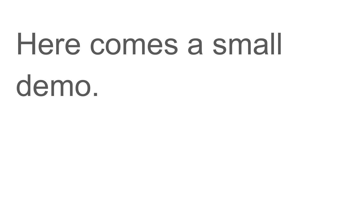## Here comes a small demo.